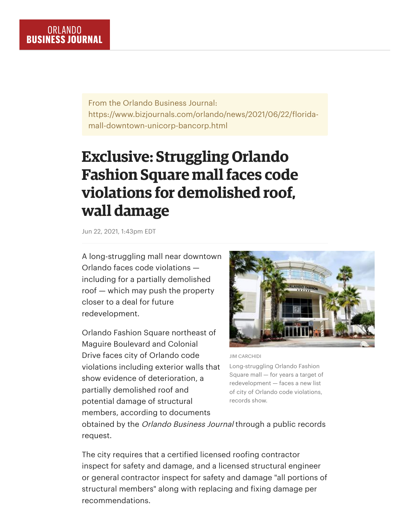From the Orlando Business Journal: https://www.bizjournals.com/orlando/news/2021/06/22/floridamall-downtown-unicorp-bancorp.html

## **Exclusive: Struggling Orlando Fashion Square mall faces code violations for demolished roof, wall damage**

Jun 22, 2021, 1:43pm EDT

A long-struggling mall near downtown Orlando faces code violations including for a partially demolished roof — which may push the property closer to a deal for future redevelopment.

Orlando Fashion Square northeast of Maguire Boulevard and Colonial Drive faces city of Orlando code violations including exterior walls that show evidence of deterioration, a partially demolished roof and potential damage of structural members, according to documents



JIM CARCHIDI

Long-struggling Orlando Fashion Square mall — for years a target of redevelopment — faces a new list of city of Orlando code violations, records show.

obtained by the Orlando Business Journal through a public records request.

The city requires that a certified licensed roofing contractor inspect for safety and damage, and a licensed structural engineer or general contractor inspect for safety and damage "all portions of structural members" along with replacing and fixing damage per recommendations.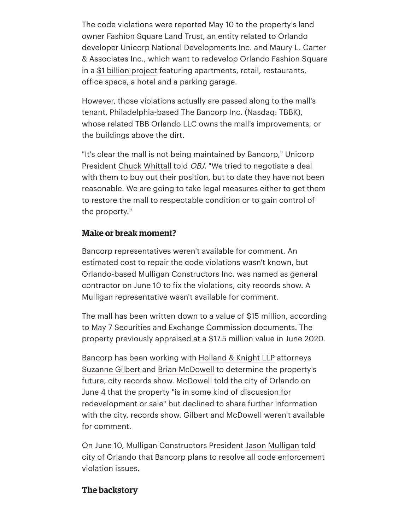The code violations were reported May 10 to the property's land owner Fashion Square Land Trust, an entity related to Orlando developer Unicorp National Developments Inc. and Maury L. Carter & Associates Inc., which want to redevelop Orlando Fashion Square in a \$1 billion [project](https://www.bizjournals.com/orlando/news/2020/07/06/unicorp-fashion-square-mall-groundbreaking.html) featuring apartments, retail, restaurants, office space, a hotel and a parking garage.

However, those violations actually are passed along to the mall's tenant, Philadelphia-based The Bancorp Inc. (Nasdaq: TBBK), whose related TBB Orlando LLC owns the mall's improvements, or the buildings above the dirt.

"It's clear the mall is not being maintained by Bancorp," Unicorp President Chuck [Whittall](https://www.bizjournals.com/orlando/search/results?q=Chuck%20Whittall) told OBJ. "We tried to negotiate a deal with them to buy out their position, but to date they have not been reasonable. We are going to take legal measures either to get them to restore the mall to respectable condition or to gain control of the property."

## **Make or break moment?**

Bancorp representatives weren't available for comment. An estimated cost to repair the code violations wasn't known, but Orlando-based Mulligan Constructors Inc. was named as general contractor on June 10 to fix the violations, city records show. A Mulligan representative wasn't available for comment.

The mall has been written down to a value of \$15 million, according to May 7 Securities and Exchange Commission documents. The property previously appraised at a \$17.5 million value in June 2020.

Bancorp has been working with [Holland](https://www.bizjournals.com/profile/company/org_ch_32115d2d354b57d3077a7a2b4c8f6e3b) & Knight LLP attorneys [Suzanne](https://www.bizjournals.com/orlando/search/results?q=Suzanne%20Gilbert) Gilbert and Brian [McDowell](https://www.bizjournals.com/orlando/search/results?q=Brian%20McDowell) to determine the property's future, city records show. McDowell told the city of Orlando on June 4 that the property "is in some kind of discussion for redevelopment or sale" but declined to share further information with the city, records show. Gilbert and McDowell weren't available for comment.

On June 10, Mulligan Constructors President Jason [Mulligan](https://www.bizjournals.com/orlando/search/results?q=Jason%20Mulligan) told city of Orlando that Bancorp plans to resolve all code enforcement violation issues.

## **The backstory**